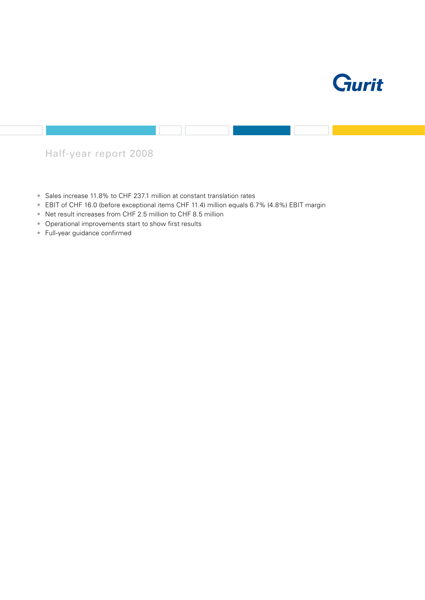

### Half-year report 2008

- Sales increase 11.8% to CHF 237.1 million at constant translation rates
- • EBIT of CHF 16.0 (before exceptional items CHF 11.4) million equals 6.7% (4.8%) EBIT margin
- Net result increases from CHF 2.5 million to CHF 8.5 million
- • Operational improvements start to show first results
- • Full-year guidance confirmed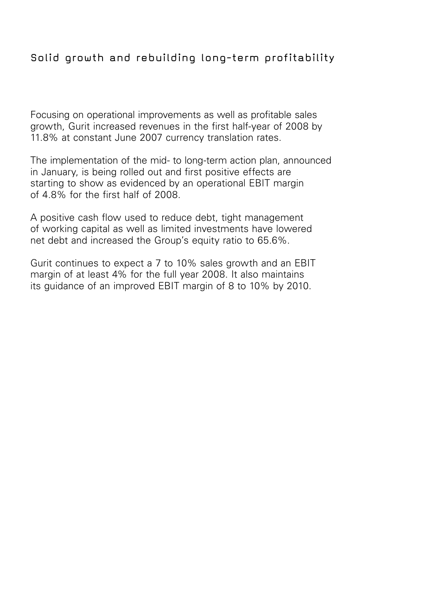### Solid growth and rebuilding long-term profitability

Focusing on operational improvements as well as profitable sales growth, Gurit increased revenues in the first half-year of 2008 by 11.8% at constant June 2007 currency translation rates.

The implementation of the mid- to long-term action plan, announced in January, is being rolled out and first positive effects are starting to show as evidenced by an operational EBIT margin of 4.8% for the first half of 2008.

A positive cash flow used to reduce debt, tight management of working capital as well as limited investments have lowered net debt and increased the Group's equity ratio to 65.6%.

Gurit continues to expect a 7 to 10% sales growth and an EBIT margin of at least 4% for the full year 2008. It also maintains its guidance of an improved EBIT margin of 8 to 10% by 2010.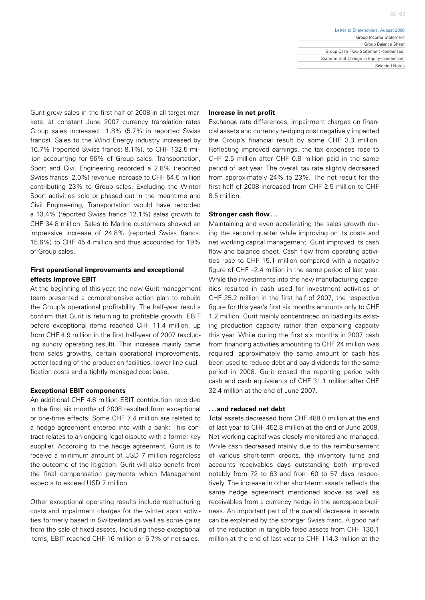02–03

| Letter to Shareholders, August 2008       |
|-------------------------------------------|
| Group Income Statement                    |
| Group Balance Sheet                       |
| Group Cash Flow Statement (condensed)     |
| Statement of Change in Equity (condensed) |
| Selected Notes                            |

Gurit grew sales in the first half of 2008 in all target markets: at constant June 2007 currency translation rates Group sales increased 11.8% (5.7% in reported Swiss francs). Sales to the Wind Energy industry increased by 16.7% (reported Swiss francs: 8.1%), to CHF 132.5 million accounting for 56% of Group sales. Transportation, Sport and Civil Engineering recorded a 2.8% (reported Swiss francs: 2.0%) revenue increase to CHF 54.5 million contributing 23% to Group sales. Excluding the Winter Sport activities sold or phased out in the meantime and Civil Engineering, Transportation would have recorded a 13.4% (reported Swiss francs 12.1%) sales growth to CHF 34.8 million. Sales to Marine customers showed an impressive increase of 24.8% (reported Swiss francs: 15.6%) to CHF 45.4 million and thus accounted for 19% of Group sales.

### **First operational improvements and exceptional effects improve EBIT**

At the beginning of this year, the new Gurit management team presented a comprehensive action plan to rebuild the Group's operational profitability. The half-year results confirm that Gurit is returning to profitable growth. EBIT before exceptional items reached CHF 11.4 million, up from CHF 4.9 million in the first half-year of 2007 (excluding sundry operating result). This increase mainly came from sales growths, certain operational improvements, better loading of the production facilities, lower line qualification costs and a tightly managed cost base.

### **Exceptional EBIT components**

An additional CHF 4.6 million EBIT contribution recorded in the first six months of 2008 resulted from exceptional or one-time effects: Some CHF 7.4 million are related to a hedge agreement entered into with a bank: This contract relates to an ongoing legal dispute with a former key supplier. According to the hedge agreement, Gurit is to receive a minimum amount of USD 7 million regardless the outcome of the litigation. Gurit will also benefit from the final compensation payments which Management expects to exceed USD 7 million.

Other exceptional operating results include restructuring costs and impairment charges for the winter sport activities formerly based in Switzerland as well as some gains from the sale of fixed assets. Including these exceptional items, EBIT reached CHF 16 million or 6.7% of net sales.

### **Increase in net profit**

Exchange rate differences, impairment charges on financial assets and currency hedging cost negatively impacted the Group's financial result by some CHF 3.3 million. Reflecting improved earnings, the tax expenses rose to CHF 2.5 million after CHF 0.8 million paid in the same period of last year. The overall tax rate slightly decreased from approximately 24% to 23%. The net result for the first half of 2008 increased from CHF 2.5 million to CHF 8.5 million.

### **Stronger cash flow...**

Maintaining and even accelerating the sales growth during the second quarter while improving on its costs and net working capital management, Gurit improved its cash flow and balance sheet. Cash flow from operating activities rose to CHF 15.1 million compared with a negative figure of CHF –2.4 million in the same period of last year. While the investments into the new manufacturing capacities resulted in cash used for investment activities of CHF 25.2 million in the first half of 2007, the respective figure for this year's first six months amounts only to CHF 1.2 million. Gurit mainly concentrated on loading its existing production capacity rather than expanding capacity this year. While during the first six months in 2007 cash from financing activities amounting to CHF 24 million was required, approximately the same amount of cash has been used to reduce debt and pay dividends for the same period in 2008. Gurit closed the reporting period with cash and cash equivalents of CHF 31.1 million after CHF 32.4 million at the end of June 2007.

### **...and reduced net debt**

Total assets decreased from CHF 488.0 million at the end of last year to CHF 452.8 million at the end of June 2008. Net working capital was closely monitored and managed. While cash decreased mainly due to the reimbursement of various short-term credits, the inventory turns and accounts receivables days outstanding both improved notably from 72 to 63 and from 60 to 57 days respectively. The increase in other short-term assets reflects the same hedge agreement mentioned above as well as receivables from a currency hedge in the aerospace business. An important part of the overall decrease in assets can be explained by the stronger Swiss franc. A good half of the reduction in tangible fixed assets from CHF 130.1 million at the end of last year to CHF 114.3 million at the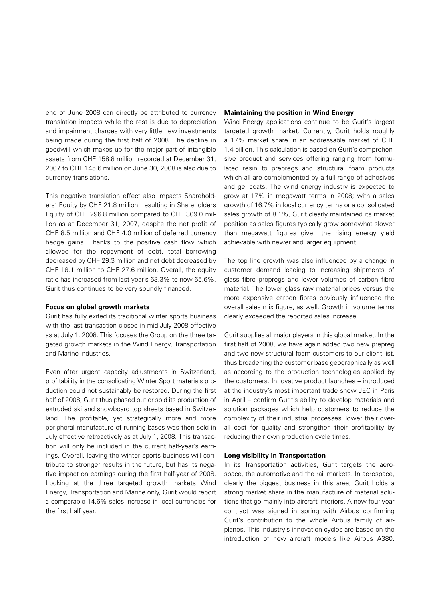end of June 2008 can directly be attributed to currency translation impacts while the rest is due to depreciation and impairment charges with very little new investments being made during the first half of 2008. The decline in goodwill which makes up for the major part of intangible assets from CHF 158.8 million recorded at December 31, 2007 to CHF 145.6 million on June 30, 2008 is also due to currency translations.

This negative translation effect also impacts Shareholders' Equity by CHF 21.8 million, resulting in Shareholders Equity of CHF 296.8 million compared to CHF 309.0 million as at December 31, 2007, despite the net profit of CHF 8.5 million and CHF 4.0 million of deferred currency hedge gains. Thanks to the positive cash flow which allowed for the repayment of debt, total borrowing decreased by CHF 29.3 million and net debt decreased by CHF 18.1 million to CHF 27.6 million. Overall, the equity ratio has increased from last year's 63.3% to now 65.6%. Gurit thus continues to be very soundly financed.

### **Focus on global growth markets**

Gurit has fully exited its traditional winter sports business with the last transaction closed in mid-July 2008 effective as at July 1, 2008. This focuses the Group on the three targeted growth markets in the Wind Energy, Transportation and Marine industries.

Even after urgent capacity adjustments in Switzerland, profitability in the consolidating Winter Sport materials production could not sustainably be restored. During the first half of 2008, Gurit thus phased out or sold its production of extruded ski and snowboard top sheets based in Switzerland. The profitable, yet strategically more and more peripheral manufacture of running bases was then sold in July effective retroactively as at July 1, 2008. This transaction will only be included in the current half-year's earnings. Overall, leaving the winter sports business will contribute to stronger results in the future, but has its negative impact on earnings during the first half-year of 2008. Looking at the three targeted growth markets Wind Energy, Transportation and Marine only, Gurit would report a comparable 14.6% sales increase in local currencies for the first half year.

### **Maintaining the position in Wind Energy**

Wind Energy applications continue to be Gurit's largest targeted growth market. Currently, Gurit holds roughly a 17% market share in an addressable market of CHF 1.4 billion. This calculation is based on Gurit's comprehensive product and services offering ranging from formulated resin to prepregs and structural foam products which all are complemented by a full range of adhesives and gel coats. The wind energy industry is expected to grow at 17% in megawatt terms in 2008; with a sales growth of 16.7% in local currency terms or a consolidated sales growth of 8.1%, Gurit clearly maintained its market position as sales figures typically grow somewhat slower than megawatt figures given the rising energy yield achievable with newer and larger equipment.

The top line growth was also influenced by a change in customer demand leading to increasing shipments of glass fibre prepregs and lower volumes of carbon fibre material. The lower glass raw material prices versus the more expensive carbon fibres obviously influenced the overall sales mix figure, as well. Growth in volume terms clearly exceeded the reported sales increase.

Gurit supplies all major players in this global market. In the first half of 2008, we have again added two new prepreg and two new structural foam customers to our client list, thus broadening the customer base geographically as well as according to the production technologies applied by the customers. Innovative product launches – introduced at the industry's most important trade show JEC in Paris in April – confirm Gurit's ability to develop materials and solution packages which help customers to reduce the complexity of their industrial processes, lower their overall cost for quality and strengthen their profitability by reducing their own production cycle times.

### **Long visibility in Transportation**

In its Transportation activities, Gurit targets the aerospace, the automotive and the rail markets. In aerospace, clearly the biggest business in this area, Gurit holds a strong market share in the manufacture of material solutions that go mainly into aircraft interiors. A new four-year contract was signed in spring with Airbus confirming Gurit's contribution to the whole Airbus family of airplanes. This industry's innovation cycles are based on the introduction of new aircraft models like Airbus A380.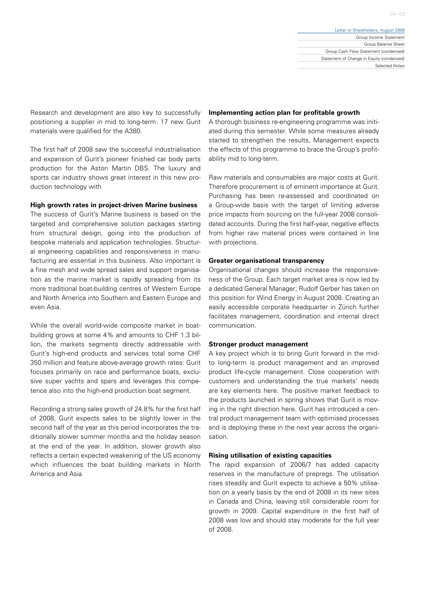#### Letter to Shareholders, August 2008 Group Income Statement Group Balance Sheet Group Cash Flow Statement (condensed) Statement of Change in Equity (condensed) Selected Notes

Research and development are also key to successfully positioning a supplier in mid to long-term. 17 new Gurit materials were qualified for the A380.

The first half of 2008 saw the successful industrialisation and expansion of Gurit's pioneer finished car body parts production for the Aston Martin DBS. The luxury and sports car industry shows great interest in this new production technology with

#### **High growth rates in project-driven Marine business**

The success of Gurit's Marine business is based on the targeted and comprehensive solution packages starting from structural design, going into the production of bespoke materials and application technologies. Structural engineering capabilities and responsiveness in manufacturing are essential in this business. Also important is a fine mesh and wide spread sales and support organisation as the marine market is rapidly spreading from its more traditional boat-building centres of Western Europe and North America into Southern and Eastern Europe and even Asia.

While the overall world-wide composite market in boatbuilding grows at some 4% and amounts to CHF 1.3 billion, the markets segments directly addressable with Gurit's high-end products and services total some CHF 350 million and feature above-average growth rates: Gurit focuses primarily on race and performance boats, exclusive super yachts and spars and leverages this competence also into the high-end production boat segment.

Recording a strong sales growth of 24.8% for the first half of 2008, Gurit expects sales to be slightly lower in the second half of the year as this period incorporates the traditionally slower summer months and the holiday season at the end of the year. In addition, slower growth also reflects a certain expected weakening of the US economy which influences the boat building markets in North America and Asia.

### **Implementing action plan for profitable growth**

A thorough business re-engineering programme was initiated during this semester. While some measures already started to strengthen the results, Management expects the effects of this programme to brace the Group's profitability mid to long-term.

Raw materials and consumables are major costs at Gurit. Therefore procurement is of eminent importance at Gurit. Purchasing has been re-assessed and coordinated on a Group-wide basis with the target of limiting adverse price impacts from sourcing on the full-year 2008 consolidated accounts. During the first half-year, negative effects from higher raw material prices were contained in line with projections.

### **Greater organisational transparency**

Organisational changes should increase the responsiveness of the Group. Each target market area is now led by a dedicated General Manager; Rudolf Gerber has taken on this position for Wind Energy in August 2008. Creating an easily accessible corporate headquarter in Zürich further facilitates management, coordination and internal direct communication.

### **Stronger product management**

A key project which is to bring Gurit forward in the midto long-term is product management and an improved product life-cycle management. Close cooperation with customers and understanding the true markets' needs are key elements here. The positive market feedback to the products launched in spring shows that Gurit is moving in the right direction here. Gurit has introduced a central product management team with optimised processes and is deploying these in the next year across the organisation.

### **Rising utilisation of existing capacities**

The rapid expansion of 2006/7 has added capacity reserves in the manufacture of prepregs. The utilisation rises steadily and Gurit expects to achieve a 50% utilisation on a yearly basis by the end of 2008 in its new sites in Canada and China, leaving still considerable room for growth in 2009. Capital expenditure in the first half of 2008 was low and should stay moderate for the full year of 2008.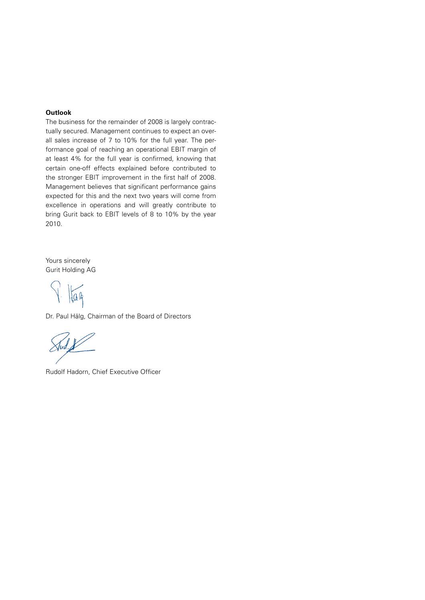### **Outlook**

The business for the remainder of 2008 is largely contractually secured. Management continues to expect an overall sales increase of 7 to 10% for the full year. The performance goal of reaching an operational EBIT margin of at least 4% for the full year is confirmed, knowing that certain one-off effects explained before contributed to the stronger EBIT improvement in the first half of 2008. Management believes that significant performance gains expected for this and the next two years will come from excellence in operations and will greatly contribute to bring Gurit back to EBIT levels of 8 to 10% by the year 2010.

Yours sincerely Gurit Holding AG

 $\sqrt{a^q}$ 

Dr. Paul Hälg, Chairman of the Board of Directors

Rudolf Hadorn, Chief Executive Officer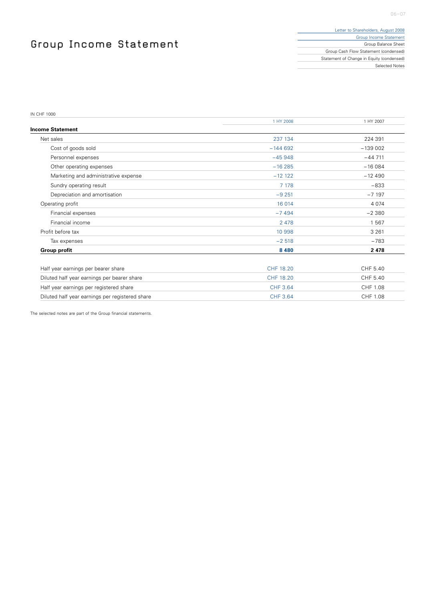# Group Income Statement

| Letter to Shareholders, August 2008       |
|-------------------------------------------|
| Group Income Statement                    |
| Group Balance Sheet                       |
| Group Cash Flow Statement (condensed)     |
| Statement of Change in Equity (condensed) |
| Selected Notes                            |
|                                           |

IN CHF 1000

|                                                 | 1 HY 2008 | 1 HY 2007 |
|-------------------------------------------------|-----------|-----------|
| <b>Income Statement</b>                         |           |           |
| Net sales                                       | 237 134   | 224 391   |
| Cost of goods sold                              | $-144692$ | $-139002$ |
| Personnel expenses                              | $-45948$  | $-44711$  |
| Other operating expenses                        | $-16285$  | $-16084$  |
| Marketing and administrative expense            | $-12$ 122 | $-12490$  |
| Sundry operating result                         | 7 1 7 8   | $-833$    |
| Depreciation and amortisation                   | $-9251$   | $-7197$   |
| Operating profit                                | 16 0 14   | 4 0 7 4   |
| Financial expenses                              | $-7494$   | $-2380$   |
| Financial income                                | 2 4 7 8   | 1567      |
| Profit before tax                               | 10 998    | 3 2 6 1   |
| Tax expenses                                    | $-2518$   | $-783$    |
| <b>Group profit</b>                             | 8 4 8 0   | 2 4 7 8   |
|                                                 |           |           |
| Half year earnings per bearer share             | CHF 18.20 | CHF 5.40  |
| Diluted half year earnings per bearer share     | CHF 18.20 | CHF 5.40  |
| Half year earnings per registered share         | CHF 3.64  | CHF 1.08  |
| Diluted half year earnings per registered share | CHF 3.64  | CHF 1.08  |
|                                                 |           |           |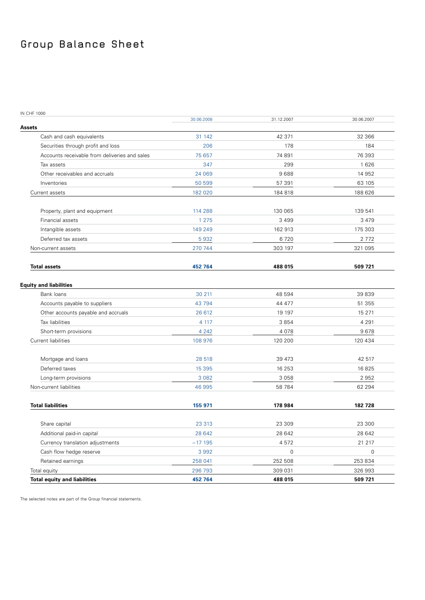### Group Balance Sheet

| IN CHF 1000                                   |            |            |             |
|-----------------------------------------------|------------|------------|-------------|
|                                               | 30.06.2008 | 31.12.2007 | 30.06.2007  |
| Assets<br>Cash and cash equivalents           | 31 142     | 42 371     | 32 366      |
| Securities through profit and loss            | 206        | 178        | 184         |
| Accounts receivable from deliveries and sales | 75 657     | 74 891     | 76 393      |
| Tax assets                                    | 347        | 299        | 1626        |
| Other receivables and accruals                | 24 069     | 9688       | 14 9 52     |
| Inventories                                   | 50 599     | 57 391     | 63 105      |
| Current assets                                | 182 020    | 184 818    | 188 626     |
|                                               |            |            |             |
| Property, plant and equipment                 | 114 288    | 130 065    | 139 541     |
| Financial assets                              | 1 2 7 5    | 3 4 9 9    | 3 4 7 9     |
| Intangible assets                             | 149 249    | 162 913    | 175 303     |
| Deferred tax assets                           | 5932       | 6720       | 2772        |
| Non-current assets                            | 270 744    | 303 197    | 321 095     |
| <b>Total assets</b>                           | 452 764    | 488 015    | 509 721     |
| <b>Equity and liabilities</b>                 |            |            |             |
| Bank loans                                    | 30 211     | 48 594     | 39839       |
| Accounts payable to suppliers                 | 43 794     | 44 477     | 51 355      |
| Other accounts payable and accruals           | 26 612     | 19 197     | 15 271      |
| Tax liabilities                               | 4 1 1 7    | 3854       | 4 2 9 1     |
| Short-term provisions                         | 4 2 4 2    | 4 0 7 8    | 9678        |
| Current liabilities                           | 108 976    | 120 200    | 120 434     |
| Mortgage and loans                            | 28 518     | 39 473     | 42 517      |
| Deferred taxes                                | 15 3 95    | 16 253     | 16825       |
| Long-term provisions                          | 3 0 8 2    | 3 0 5 8    | 2952        |
| Non-current liabilities                       | 46 995     | 58784      | 62 294      |
| <b>Total liabilities</b>                      | 155 971    | 178984     | 182 728     |
|                                               |            |            |             |
| Share capital                                 | 23 313     | 23 309     | 23 300      |
| Additional paid-in capital                    | 28 642     | 28 642     | 28 642      |
| Currency translation adjustments              | $-17195$   | 4572       | 21 217      |
| Cash flow hedge reserve                       | 3 9 9 2    | 0          | $\mathbf 0$ |
| Retained earnings                             | 258 041    | 252 508    | 253 834     |
| Total equity                                  | 296 793    | 309 031    | 326 993     |
| <b>Total equity and liabilities</b>           | 452 764    | 488 015    | 509 721     |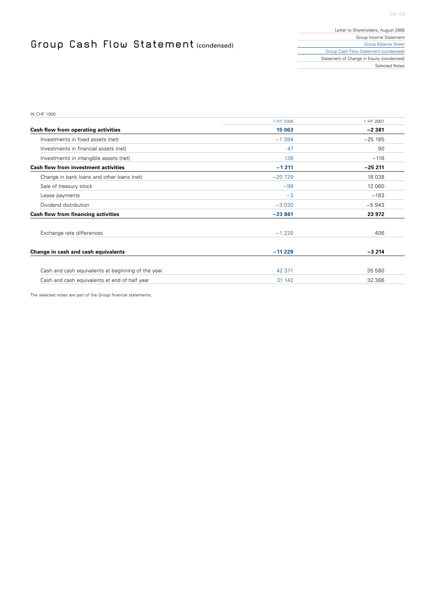# Group Cash Flow Statement (condensed)

| Letter to Shareholders, August 2008       |  |
|-------------------------------------------|--|
| Group Income Statement                    |  |
| <b>Group Balance Sheet</b>                |  |
| Group Cash Flow Statement (condensed)     |  |
| Statement of Change in Equity (condensed) |  |
| Selected Notes                            |  |

| <b>IN CHF 1000</b>                                 |           |           |
|----------------------------------------------------|-----------|-----------|
|                                                    | 1 HY 2008 | 1 HY 2007 |
| Cash flow from operating activities                | 15 063    | $-2381$   |
| Investments in fixed assets (net)                  | $-1394$   | $-25185$  |
| Investments in financial assets (net)              | 47        | 90        |
| Investments in intangible assets (net)             | 136       | $-116$    |
| <b>Cash flow from investment activities</b>        | $-1211$   | $-25211$  |
| Change in bank loans and other loans (net)         | $-20729$  | 18 0 38   |
| Sale of treasury stock                             | $-99$     | 12 060    |
| Lease payments                                     | $-3$      | $-183$    |
| Dividend distribution                              | $-3030$   | $-5943$   |
| Cash flow from financing activities                | $-23861$  | 23 972    |
| Exchange rate differences                          | $-1220$   | 406       |
| Change in cash and cash equivalents                | $-11229$  | $-3214$   |
|                                                    |           |           |
| Cash and cash equivalents at beginning of the year | 42 371    | 35 580    |
| Cash and cash equivalents at end of half year      | 31 142    | 32 366    |
|                                                    |           |           |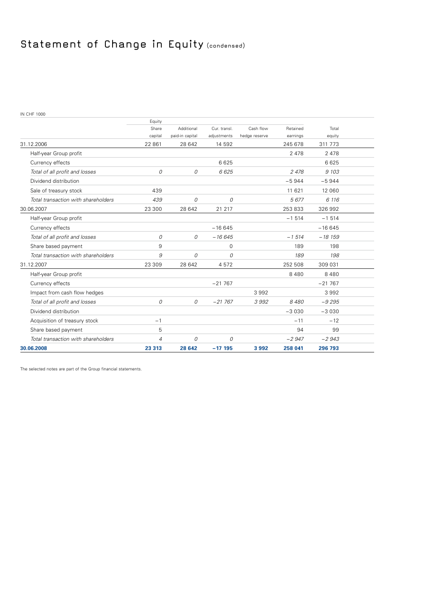# Statement of Change in Equity (condensed)

| <b>IN CHF 1000</b>                  |         |                 |              |               |          |          |  |
|-------------------------------------|---------|-----------------|--------------|---------------|----------|----------|--|
|                                     | Equity  |                 |              |               |          |          |  |
|                                     | Share   | Additional      | Cur. transl. | Cash flow     | Retained | Total    |  |
|                                     | capital | paid-in capital | adjustments  | hedge reserve | earnings | equity   |  |
| 31.12.2006                          | 22 861  | 28 642          | 14 5 9 2     |               | 245 678  | 311 773  |  |
| Half-year Group profit              |         |                 |              |               | 2 4 7 8  | 2 4 7 8  |  |
| Currency effects                    |         |                 | 6625         |               |          | 6625     |  |
| Total of all profit and losses      | 0       | 0               | 6625         |               | 2 478    | 9 1 0 3  |  |
| Dividend distribution               |         |                 |              |               | $-5944$  | $-5944$  |  |
| Sale of treasury stock              | 439     |                 |              |               | 11 621   | 12 060   |  |
| Total transaction with shareholders | 439     | 0               | 0            |               | 5677     | 6 116    |  |
| 30.06.2007                          | 23 300  | 28 642          | 21 217       |               | 253 833  | 326 992  |  |
| Half-year Group profit              |         |                 |              |               | $-1514$  | $-1514$  |  |
| Currency effects                    |         |                 | $-16645$     |               |          | $-16645$ |  |
| Total of all profit and losses      | 0       | 0               | $-16645$     |               | $-1514$  | $-18159$ |  |
| Share based payment                 | 9       |                 | 0            |               | 189      | 198      |  |
| Total transaction with shareholders | 9       | 0               | 0            |               | 189      | 198      |  |
| 31.12.2007                          | 23 309  | 28 642          | 4572         |               | 252 508  | 309 031  |  |
| Half-year Group profit              |         |                 |              |               | 8480     | 8480     |  |
| Currency effects                    |         |                 | $-21767$     |               |          | $-21767$ |  |
| Impact from cash flow hedges        |         |                 |              | 3992          |          | 3992     |  |
| Total of all profit and losses      | 0       | 0               | $-21,767$    | 3992          | 8480     | $-9295$  |  |
| Dividend distribution               |         |                 |              |               | $-3030$  | $-3030$  |  |
| Acquisition of treasury stock       | $-1$    |                 |              |               | $-11$    | $-12$    |  |
| Share based payment                 | 5       |                 |              |               | 94       | 99       |  |
| Total transaction with shareholders | 4       | 0               | 0            |               | $-2947$  | $-2943$  |  |
| 30.06.2008                          | 23 313  | 28 642          | $-17195$     | 3992          | 258 041  | 296 793  |  |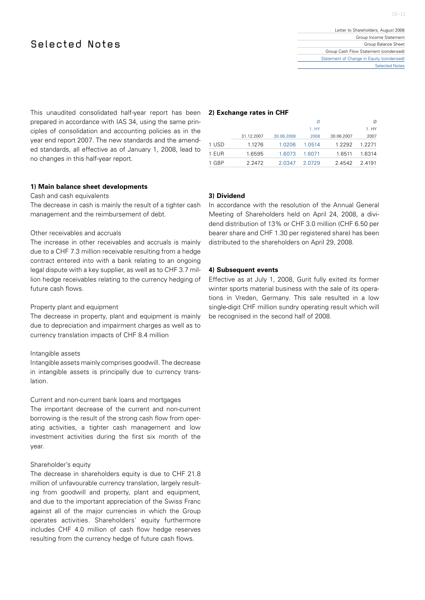### Selected Notes

This unaudited consolidated half-year report has been **2) Exchange rates in CHF** prepared in accordance with IAS 34, using the same principles of consolidation and accounting policies as in the year end report 2007. The new standards and the amended standards, all effective as of January 1, 2008, lead to no changes in this half-year report.

### **1) Main balance sheet developments**

### Cash and cash equivalents

The decrease in cash is mainly the result of a tighter cash management and the reimbursement of debt.

### Other receivables and accruals

The increase in other receivables and accruals is mainly due to a CHF 7.3 million receivable resulting from a hedge contract entered into with a bank relating to an ongoing legal dispute with a key supplier, as well as to CHF 3.7 million hedge receivables relating to the currency hedging of future cash flows.

### Property plant and equipment

The decrease in property, plant and equipment is mainly due to depreciation and impairment charges as well as to currency translation impacts of CHF 8.4 million

### Intangible assets

Intangible assets mainly comprises goodwill. The decrease in intangible assets is principally due to currency translation.

#### Current and non-current bank loans and mortgages

The important decrease of the current and non-current borrowing is the result of the strong cash flow from operating activities, a tighter cash management and low investment activities during the first six month of the year.

### Shareholder's equity

The decrease in shareholders equity is due to CHF 21.8 million of unfavourable currency translation, largely resulting from goodwill and property, plant and equipment, and due to the important appreciation of the Swiss Franc against all of the major currencies in which the Group operates activities. Shareholders' equity furthermore includes CHF 4.0 million of cash flow hedge reserves resulting from the currency hedge of future cash flows.

|       |            |            | Ø      |            | Ø      |
|-------|------------|------------|--------|------------|--------|
|       |            |            | 1. HY  |            | 1. HY  |
|       | 31.12.2007 | 30.06.2008 | 2008   | 30.06.2007 | 2007   |
| 1 USD | 1.1276     | 1.0206     | 1.0514 | 1.2292     | 1 2271 |
| 1 EUR | 1.6595     | 1.6073     | 1.6071 | 1.6511     | 1.6314 |
| 1 GBP | 2.2472     | 2.0347     | 2.0729 | 2.4542     | 2.4191 |
|       |            |            |        |            |        |

### **3) Dividend**

In accordance with the resolution of the Annual General Meeting of Shareholders held on April 24, 2008, a dividend distribution of 13% or CHF 3.0 million (CHF 6.50 per bearer share and CHF 1.30 per registered share) has been distributed to the shareholders on April 29, 2008.

### **4) Subsequent events**

Effective as at July 1, 2008, Gurit fully exited its former winter sports material business with the sale of its operations in Vreden, Germany. This sale resulted in a low single-digit CHF million sundry operating result which will be recognised in the second half of 2008.